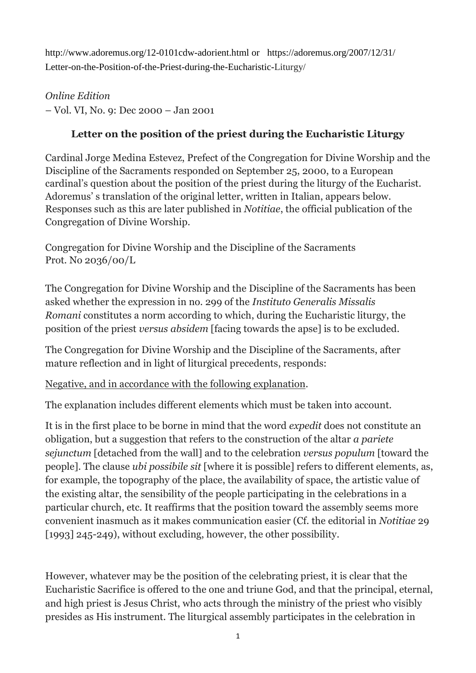http://www.adoremus.org/12-0101cdw-adorient.html or https://adoremus.org/2007/12/31/ Letter-on-the-Position-of-the-Priest-during-the-Eucharistic-Liturgy/

*Online Edition* – Vol. VI, No. 9: Dec 2000 – Jan 2001

## **Letter on the position of the priest during the Eucharistic Liturgy**

Cardinal Jorge Medina Estevez, Prefect of the Congregation for Divine Worship and the Discipline of the Sacraments responded on September 25, 2000, to a European cardinal's question about the position of the priest during the liturgy of the Eucharist. Adoremus' s translation of the original letter, written in Italian, appears below. Responses such as this are later published in *Notitiae*, the official publication of the Congregation of Divine Worship.

Congregation for Divine Worship and the Discipline of the Sacraments Prot. No 2036/00/L

The Congregation for Divine Worship and the Discipline of the Sacraments has been asked whether the expression in no. 299 of the *Instituto Generalis Missalis Romani* constitutes a norm according to which, during the Eucharistic liturgy, the position of the priest *versus absidem* [facing towards the apse] is to be excluded.

The Congregation for Divine Worship and the Discipline of the Sacraments, after mature reflection and in light of liturgical precedents, responds:

Negative, and in accordance with the following explanation.

The explanation includes different elements which must be taken into account.

It is in the first place to be borne in mind that the word *expedit* does not constitute an obligation, but a suggestion that refers to the construction of the altar *a pariete sejunctum* [detached from the wall] and to the celebration *versus populum* [toward the people]*.* The clause *ubi possibile sit* [where it is possible] refers to different elements, as, for example, the topography of the place, the availability of space, the artistic value of the existing altar, the sensibility of the people participating in the celebrations in a particular church, etc. It reaffirms that the position toward the assembly seems more convenient inasmuch as it makes communication easier (Cf. the editorial in *Notitiae* 29 [1993] 245-249), without excluding, however, the other possibility.

However, whatever may be the position of the celebrating priest, it is clear that the Eucharistic Sacrifice is offered to the one and triune God, and that the principal, eternal, and high priest is Jesus Christ, who acts through the ministry of the priest who visibly presides as His instrument. The liturgical assembly participates in the celebration in